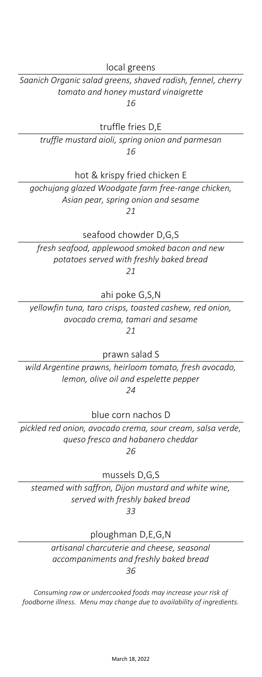local greens

*Saanich Organic salad greens, shaved radish, fennel, cherry tomato and honey mustard vinaigrette 16*

truffle fries D,E

*truffle mustard aioli, spring onion and parmesan 16*

hot & krispy fried chicken E

*gochujang glazed Woodgate farm free-range chicken, Asian pear, spring onion and sesame 21*

seafood chowder D,G,S

*fresh seafood, applewood smoked bacon and new potatoes served with freshly baked bread 21*

ahi poke G,S,N

*yellowfin tuna, taro crisps, toasted cashew, red onion, avocado crema, tamari and sesame 21*

prawn salad S

*wild Argentine prawns, heirloom tomato, fresh avocado, lemon, olive oil and espelette pepper 24*

blue corn nachos D

*pickled red onion, avocado crema, sour cream, salsa verde, queso fresco and habanero cheddar 26*

mussels D,G,S

*steamed with saffron, Dijon mustard and white wine, served with freshly baked bread 33*

ploughman D,E,G,N

*artisanal charcuterie and cheese, seasonal accompaniments and freshly baked bread 36*

*Consuming raw or undercooked foods may increase your risk of foodborne illness. Menu may change due to availability of ingredients.*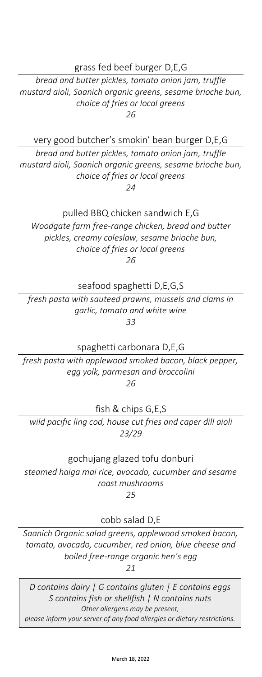### grass fed beef burger D,E,G

*bread and butter pickles, tomato onion jam, truffle mustard aioli, Saanich organic greens, sesame brioche bun, choice of fries or local greens 26*

very good butcher's smokin' bean burger D,E,G

*bread and butter pickles, tomato onion jam, truffle mustard aioli, Saanich organic greens, sesame brioche bun, choice of fries or local greens 24*

pulled BBQ chicken sandwich E,G

*Woodgate farm free-range chicken, bread and butter pickles, creamy coleslaw, sesame brioche bun, choice of fries or local greens 26*

seafood spaghetti D,E,G,S

*fresh pasta with sauteed prawns, mussels and clams in garlic, tomato and white wine 33*

spaghetti carbonara D,E,G

*fresh pasta with applewood smoked bacon, black pepper, egg yolk, parmesan and broccolini 26*

fish & chips G,E,S

*wild pacific ling cod, house cut fries and caper dill aioli 23/29*

gochujang glazed tofu donburi

*steamed haiga mai rice, avocado, cucumber and sesame roast mushrooms 25*

cobb salad D,E

*Saanich Organic salad greens, applewood smoked bacon, tomato, avocado, cucumber, red onion, blue cheese and boiled free-range organic hen's egg*

*21*

L U N C H F E A T U R E S *S contains fish or shellfish | N contains nuts available weekdays from 11am-2pm please inform your server of any food allergies or dietary restrictions. D contains dairy | G contains gluten | E contains eggs Other allergens may be present,*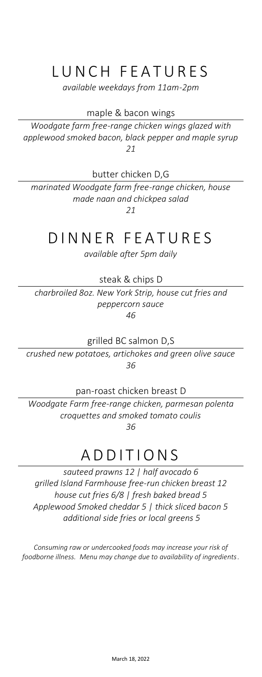# LUNCH FEATURES

*available weekdays from 11am-2pm*

maple & bacon wings

*Woodgate farm free-range chicken wings glazed with applewood smoked bacon, black pepper and maple syrup 21*

butter chicken D,G

*marinated Woodgate farm free-range chicken, house made naan and chickpea salad 21*

## D INNER FEATURES

*available after 5pm daily*

steak & chips D

*charbroiled 8oz. New York Strip, house cut fries and peppercorn sauce*

*46*

grilled BC salmon D,S

*crushed new potatoes, artichokes and green olive sauce 36*

pan-roast chicken breast D

*Woodgate Farm free-range chicken, parmesan polenta croquettes and smoked tomato coulis 36*

A D D I T I O N S

*sauteed prawns 12 | half avocado 6 grilled Island Farmhouse free-run chicken breast 12 house cut fries 6/8 | fresh baked bread 5 Applewood Smoked cheddar 5 | thick sliced bacon 5 additional side fries or local greens 5*

*Consuming raw or undercooked foods may increase your risk of foodborne illness. Menu may change due to availability of ingredients.*